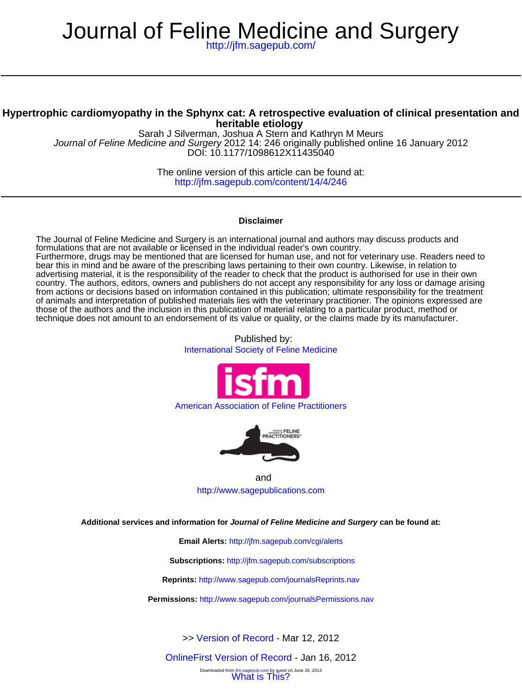# Journal of Feline Medicine and Surgery

<http://jfm.sagepub.com/>

# **heritable etiology Hypertrophic cardiomyopathy in the Sphynx cat: A retrospective evaluation of clinical presentation and**

DOI: 10.1177/1098612X11435040 Journal of Feline Medicine and Surgery 2012 14: 246 originally published online 16 January 2012 Sarah J Silverman, Joshua A Stern and Kathryn M Meurs

> <http://jfm.sagepub.com/content/14/4/246> The online version of this article can be found at:

# **Disclaimer**

technique does not amount to an endorsement of its value or quality, or the claims made by its manufacturer. those of the authors and the inclusion in this publication of material relating to a particular product, method or of animals and interpretation of published materials lies with the veterinary practitioner. The opinions expressed are from actions or decisions based on information contained in this publication; ultimate responsibility for the treatment country. The authors, editors, owners and publishers do not accept any responsibility for any loss or damage arising advertising material, it is the responsibility of the reader to check that the product is authorised for use in their own bear this in mind and be aware of the prescribing laws pertaining to their own country. Likewise, in relation to Furthermore, drugs may be mentioned that are licensed for human use, and not for veterinary use. Readers need to formulations that are not available or licensed in the individual reader's own country. The Journal of Feline Medicine and Surgery is an international journal and authors may discuss products and

> Published by: [International Society of Feline Medicine](http://www.isfm.net/)



# [American Association of Feline Practitioners](http://www.catvets.com/)



and <http://www.sagepublications.com>

**Additional services and information for Journal of Feline Medicine and Surgery can be found at:**

**Email Alerts:** <http://jfm.sagepub.com/cgi/alerts>

**Subscriptions:** <http://jfm.sagepub.com/subscriptions>

**Reprints:** <http://www.sagepub.com/journalsReprints.nav>

**Permissions:** <http://www.sagepub.com/journalsPermissions.nav>

>> [Version of Record -](http://jfm.sagepub.com/content/14/4/246.full.pdf) Mar 12, 2012

m itm.sagepub.com by guest of<br>[What is This?](http://online.sagepub.com/site/sphelp/vorhelp.xhtml) [OnlineFirst Version of Record -](http://jfm.sagepub.com/content/early/2012/01/12/1098612X11435040.full.pdf) Jan 16, 2012 by guest on June 26, 2013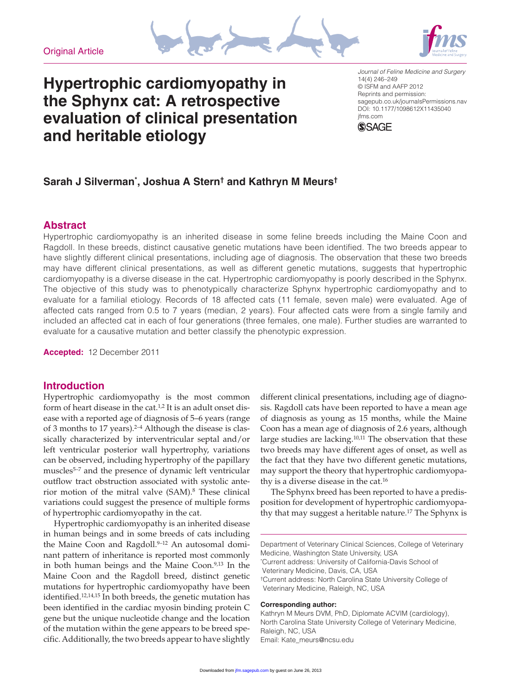



# **Hypertrophic cardiomyopathy in the Sphynx cat: A retrospective evaluation of clinical presentation and heritable etiology**

*Journal of Feline Medicine and Surgery* 14(4) 246–249 © ISFM and AAFP 2012 Reprints and permission: sagepub.co.uk/journalsPermissions.nav DOI: 10.1177/1098612X11435040 jfms.com



# **Sarah J Silverman\* , Joshua A Stern† and Kathryn M Meurs†**

# **Abstract**

Hypertrophic cardiomyopathy is an inherited disease in some feline breeds including the Maine Coon and Ragdoll. In these breeds, distinct causative genetic mutations have been identified. The two breeds appear to have slightly different clinical presentations, including age of diagnosis. The observation that these two breeds may have different clinical presentations, as well as different genetic mutations, suggests that hypertrophic cardiomyopathy is a diverse disease in the cat. Hypertrophic cardiomyopathy is poorly described in the Sphynx. The objective of this study was to phenotypically characterize Sphynx hypertrophic cardiomyopathy and to evaluate for a familial etiology. Records of 18 affected cats (11 female, seven male) were evaluated. Age of affected cats ranged from 0.5 to 7 years (median, 2 years). Four affected cats were from a single family and included an affected cat in each of four generations (three females, one male). Further studies are warranted to evaluate for a causative mutation and better classify the phenotypic expression.

**Accepted:** 12 December 2011

# **Introduction**

Hypertrophic cardiomyopathy is the most common form of heart disease in the cat.<sup>1,2</sup> It is an adult onset disease with a reported age of diagnosis of 5–6 years (range of 3 months to 17 years).<sup>2-4</sup> Although the disease is classically characterized by interventricular septal and/or left ventricular posterior wall hypertrophy, variations can be observed, including hypertrophy of the papillary muscles<sup>5-7</sup> and the presence of dynamic left ventricular outflow tract obstruction associated with systolic anterior motion of the mitral valve (SAM).8 These clinical variations could suggest the presence of multiple forms of hypertrophic cardiomyopathy in the cat.

Hypertrophic cardiomyopathy is an inherited disease in human beings and in some breeds of cats including the Maine Coon and Ragdoll.<sup>9-12</sup> An autosomal dominant pattern of inheritance is reported most commonly in both human beings and the Maine Coon.<sup>9,13</sup> In the Maine Coon and the Ragdoll breed, distinct genetic mutations for hypertrophic cardiomyopathy have been identified.<sup>12,14,15</sup> In both breeds, the genetic mutation has been identified in the cardiac myosin binding protein C gene but the unique nucleotide change and the location of the mutation within the gene appears to be breed specific. Additionally, the two breeds appear to have slightly

different clinical presentations, including age of diagnosis. Ragdoll cats have been reported to have a mean age of diagnosis as young as 15 months, while the Maine Coon has a mean age of diagnosis of 2.6 years, although large studies are lacking.10,11 The observation that these two breeds may have different ages of onset, as well as the fact that they have two different genetic mutations, may support the theory that hypertrophic cardiomyopathy is a diverse disease in the cat.16

The Sphynx breed has been reported to have a predisposition for development of hypertrophic cardiomyopathy that may suggest a heritable nature.<sup>17</sup> The Sphynx is

Department of Veterinary Clinical Sciences, College of Veterinary Medicine, Washington State University, USA \* Current address: University of California-Davis School of Veterinary Medicine, Davis, CA, USA †Current address: North Carolina State University College of Veterinary Medicine, Raleigh, NC, USA

#### **Corresponding author:**

Kathryn M Meurs DVM, PhD, Diplomate ACVIM (cardiology), North Carolina State University College of Veterinary Medicine, Raleigh, NC, USA Email: Kate\_meurs@ncsu.edu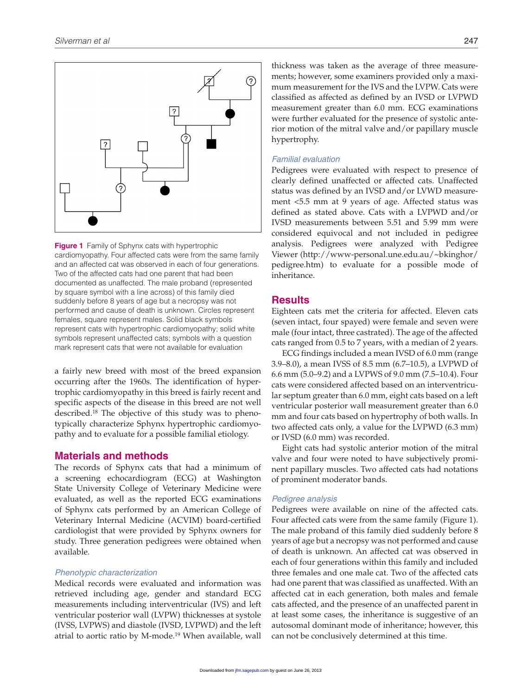

**Figure 1** Family of Sphynx cats with hypertrophic cardiomyopathy. Four affected cats were from the same family and an affected cat was observed in each of four generations. Two of the affected cats had one parent that had been documented as unaffected. The male proband (represented by square symbol with a line across) of this family died suddenly before 8 years of age but a necropsy was not performed and cause of death is unknown. Circles represent females, square represent males. Solid black symbols represent cats with hypertrophic cardiomyopathy; solid white symbols represent unaffected cats; symbols with a question mark represent cats that were not available for evaluation

a fairly new breed with most of the breed expansion occurring after the 1960s. The identification of hypertrophic cardiomyopathy in this breed is fairly recent and specific aspects of the disease in this breed are not well described.18 The objective of this study was to phenotypically characterize Sphynx hypertrophic cardiomyopathy and to evaluate for a possible familial etiology.

# **Materials and methods**

The records of Sphynx cats that had a minimum of a screening echocardiogram (ECG) at Washington State University College of Veterinary Medicine were evaluated, as well as the reported ECG examinations of Sphynx cats performed by an American College of Veterinary Internal Medicine (ACVIM) board-certified cardiologist that were provided by Sphynx owners for study. Three generation pedigrees were obtained when available.

#### *Phenotypic characterization*

Medical records were evaluated and information was retrieved including age, gender and standard ECG measurements including interventricular (IVS) and left ventricular posterior wall (LVPW) thicknesses at systole (IVSS, LVPWS) and diastole (IVSD, LVPWD) and the left atrial to aortic ratio by M-mode.19 When available, wall

thickness was taken as the average of three measurements; however, some examiners provided only a maximum measurement for the IVS and the LVPW. Cats were classified as affected as defined by an IVSD or LVPWD measurement greater than 6.0 mm. ECG examinations were further evaluated for the presence of systolic anterior motion of the mitral valve and/or papillary muscle hypertrophy.

#### *Familial evaluation*

Pedigrees were evaluated with respect to presence of clearly defined unaffected or affected cats. Unaffected status was defined by an IVSD and/or LVWD measurement <5.5 mm at 9 years of age. Affected status was defined as stated above. Cats with a LVPWD and/or IVSD measurements between 5.51 and 5.99 mm were considered equivocal and not included in pedigree analysis. Pedigrees were analyzed with Pedigree Viewer (http://www-personal.une.edu.au/~bkinghor/ pedigree.htm) to evaluate for a possible mode of inheritance.

#### **Results**

Eighteen cats met the criteria for affected. Eleven cats (seven intact, four spayed) were female and seven were male (four intact, three castrated). The age of the affected cats ranged from 0.5 to 7 years, with a median of 2 years.

ECG findings included a mean IVSD of 6.0 mm (range 3.9–8.0), a mean IVSS of 8.5 mm (6.7–10.5), a LVPWD of 6.6 mm (5.0–9.2) and a LVPWS of 9.0 mm (7.5–10.4). Four cats were considered affected based on an interventricular septum greater than 6.0 mm, eight cats based on a left ventricular posterior wall measurement greater than 6.0 mm and four cats based on hypertrophy of both walls. In two affected cats only, a value for the LVPWD (6.3 mm) or IVSD (6.0 mm) was recorded.

Eight cats had systolic anterior motion of the mitral valve and four were noted to have subjectively prominent papillary muscles. Two affected cats had notations of prominent moderator bands.

#### *Pedigree analysis*

Pedigrees were available on nine of the affected cats. Four affected cats were from the same family (Figure 1). The male proband of this family died suddenly before 8 years of age but a necropsy was not performed and cause of death is unknown. An affected cat was observed in each of four generations within this family and included three females and one male cat. Two of the affected cats had one parent that was classified as unaffected. With an affected cat in each generation, both males and female cats affected, and the presence of an unaffected parent in at least some cases, the inheritance is suggestive of an autosomal dominant mode of inheritance; however, this can not be conclusively determined at this time.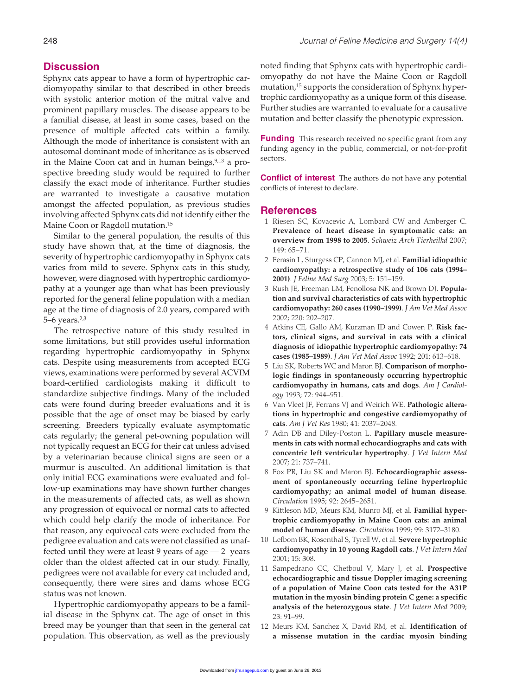### **Discussion**

Sphynx cats appear to have a form of hypertrophic cardiomyopathy similar to that described in other breeds with systolic anterior motion of the mitral valve and prominent papillary muscles. The disease appears to be a familial disease, at least in some cases, based on the presence of multiple affected cats within a family. Although the mode of inheritance is consistent with an autosomal dominant mode of inheritance as is observed in the Maine Coon cat and in human beings,  $9,13$  a prospective breeding study would be required to further classify the exact mode of inheritance. Further studies are warranted to investigate a causative mutation amongst the affected population, as previous studies involving affected Sphynx cats did not identify either the Maine Coon or Ragdoll mutation.15

Similar to the general population, the results of this study have shown that, at the time of diagnosis, the severity of hypertrophic cardiomyopathy in Sphynx cats varies from mild to severe. Sphynx cats in this study, however, were diagnosed with hypertrophic cardiomyopathy at a younger age than what has been previously reported for the general feline population with a median age at the time of diagnosis of 2.0 years, compared with 5–6 years.2,3

The retrospective nature of this study resulted in some limitations, but still provides useful information regarding hypertrophic cardiomyopathy in Sphynx cats. Despite using measurements from accepted ECG views, examinations were performed by several ACVIM board-certified cardiologists making it difficult to standardize subjective findings. Many of the included cats were found during breeder evaluations and it is possible that the age of onset may be biased by early screening. Breeders typically evaluate asymptomatic cats regularly; the general pet-owning population will not typically request an ECG for their cat unless advised by a veterinarian because clinical signs are seen or a murmur is ausculted. An additional limitation is that only initial ECG examinations were evaluated and follow-up examinations may have shown further changes in the measurements of affected cats, as well as shown any progression of equivocal or normal cats to affected which could help clarify the mode of inheritance. For that reason, any equivocal cats were excluded from the pedigree evaluation and cats were not classified as unaffected until they were at least 9 years of age  $-2$  years older than the oldest affected cat in our study. Finally, pedigrees were not available for every cat included and, consequently, there were sires and dams whose ECG status was not known.

Hypertrophic cardiomyopathy appears to be a familial disease in the Sphynx cat. The age of onset in this breed may be younger than that seen in the general cat population. This observation, as well as the previously

noted finding that Sphynx cats with hypertrophic cardiomyopathy do not have the Maine Coon or Ragdoll mutation,15 supports the consideration of Sphynx hypertrophic cardiomyopathy as a unique form of this disease. Further studies are warranted to evaluate for a causative mutation and better classify the phenotypic expression.

**Funding** This research received no specific grant from any funding agency in the public, commercial, or not-for-profit sectors.

**Conflict of interest** The authors do not have any potential conflicts of interest to declare.

#### **References**

- 1 Riesen SC, Kovacevic A, Lombard CW and Amberger C. **Prevalence of heart disease in symptomatic cats: an overview from 1998 to 2005**. *Schweiz Arch Tierheilkd* 2007; 149: 65–71.
- 2 Ferasin L, Sturgess CP, Cannon MJ, et al. **Familial idiopathic cardiomyopathy: a retrospective study of 106 cats (1994– 2001)**. *J Feline Med Surg* 2003; 5: 151–159.
- 3 Rush JE, Freeman LM, Fenollosa NK and Brown DJ. **Population and survival characteristics of cats with hypertrophic cardiomyopathy: 260 cases (1990–1999)**. *J Am Vet Med Assoc* 2002; 220: 202–207.
- 4 Atkins CE, Gallo AM, Kurzman ID and Cowen P. **Risk factors, clinical signs, and survival in cats with a clinical diagnosis of idiopathic hypertrophic cardiomyopathy: 74 cases (1985–1989)**. *J Am Vet Med Assoc* 1992; 201: 613–618.
- 5 Liu SK, Roberts WC and Maron BJ. **Comparison of morphologic findings in spontaneously occurring hypertrophic cardiomyopathy in humans, cats and dogs**. *Am J Cardiology* 1993; 72: 944–951.
- 6 Van Vleet JF, Ferrans VJ and Weirich WE. **Pathologic alterations in hypertrophic and congestive cardiomyopathy of cats**. *Am J Vet Res* 1980; 41: 2037–2048.
- 7 Adin DB and Diley-Poston L. **Papillary muscle measurements in cats with normal echocardiographs and cats with concentric left ventricular hypertrophy**. *J Vet Intern Med* 2007; 21: 737–741.
- 8 Fox PR, Liu SK and Maron BJ. **Echocardiographic assessment of spontaneously occurring feline hypertrophic cardiomyopathy; an animal model of human disease**. *Circulation* 1995; 92: 2645–2651.
- 9 Kittleson MD, Meurs KM, Munro MJ, et al. **Familial hypertrophic cardiomyopathy in Maine Coon cats: an animal model of human disease**. *Circulation* 1999; 99: 3172–3180.
- 10 Lefbom BK, Rosenthal S, Tyrell W, et al. **Severe hypertrophic cardiomyopathy in 10 young Ragdoll cats**. *J Vet Intern Med* 2001; 15: 308.
- 11 Sampedrano CC, Chetboul V, Mary J, et al. **Prospective echocardiographic and tissue Doppler imaging screening of a population of Maine Coon cats tested for the A31P mutation in the myosin binding protein C gene: a specific analysis of the heterozygous state**. *J Vet Intern Med* 2009; 23: 91–99.
- 12 Meurs KM, Sanchez X, David RM, et al. **Identification of a missense mutation in the cardiac myosin binding**